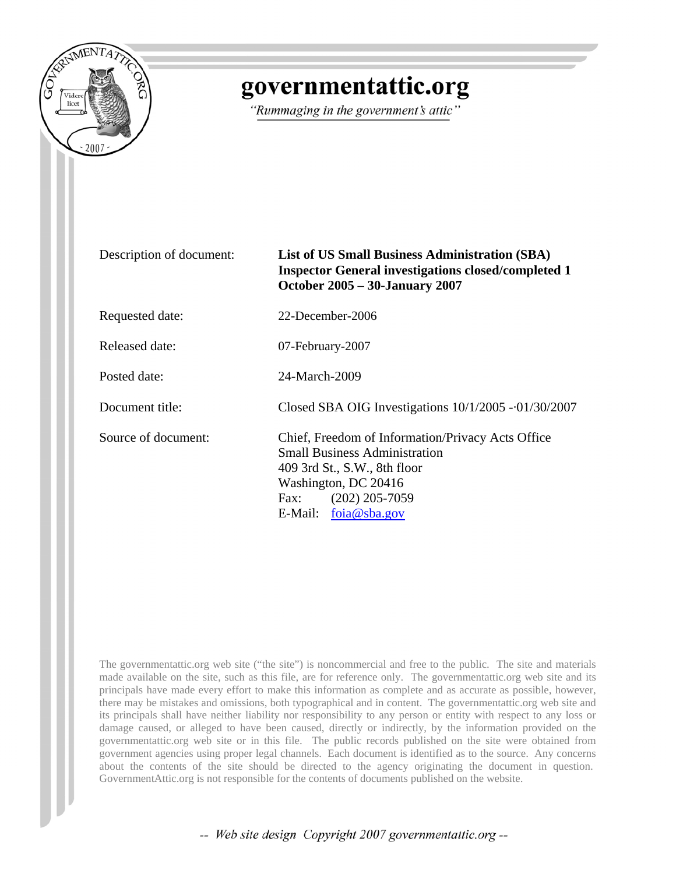

## governmentattic.org

"Rummaging in the government's attic"

| Description of document: | <b>List of US Small Business Administration (SBA)</b><br><b>Inspector General investigations closed/completed 1</b><br><b>October 2005 - 30-January 2007</b>                                            |  |
|--------------------------|---------------------------------------------------------------------------------------------------------------------------------------------------------------------------------------------------------|--|
| Requested date:          | 22-December-2006                                                                                                                                                                                        |  |
| Released date:           | 07-February-2007                                                                                                                                                                                        |  |
| Posted date:             | 24-March-2009                                                                                                                                                                                           |  |
| Document title:          | Closed SBA OIG Investigations $10/1/2005 - 01/30/2007$                                                                                                                                                  |  |
| Source of document:      | Chief, Freedom of Information/Privacy Acts Office<br><b>Small Business Administration</b><br>409 3rd St., S.W., 8th floor<br>Washington, DC 20416<br>$(202)$ 205-7059<br>Fax:<br>E-Mail: $foia@sha.gov$ |  |

The governmentattic.org web site ("the site") is noncommercial and free to the public. The site and materials made available on the site, such as this file, are for reference only. The governmentattic.org web site and its principals have made every effort to make this information as complete and as accurate as possible, however, there may be mistakes and omissions, both typographical and in content. The governmentattic.org web site and its principals shall have neither liability nor responsibility to any person or entity with respect to any loss or damage caused, or alleged to have been caused, directly or indirectly, by the information provided on the governmentattic.org web site or in this file. The public records published on the site were obtained from government agencies using proper legal channels. Each document is identified as to the source. Any concerns about the contents of the site should be directed to the agency originating the document in question. GovernmentAttic.org is not responsible for the contents of documents published on the website.

-- Web site design Copyright 2007 governmentattic.org --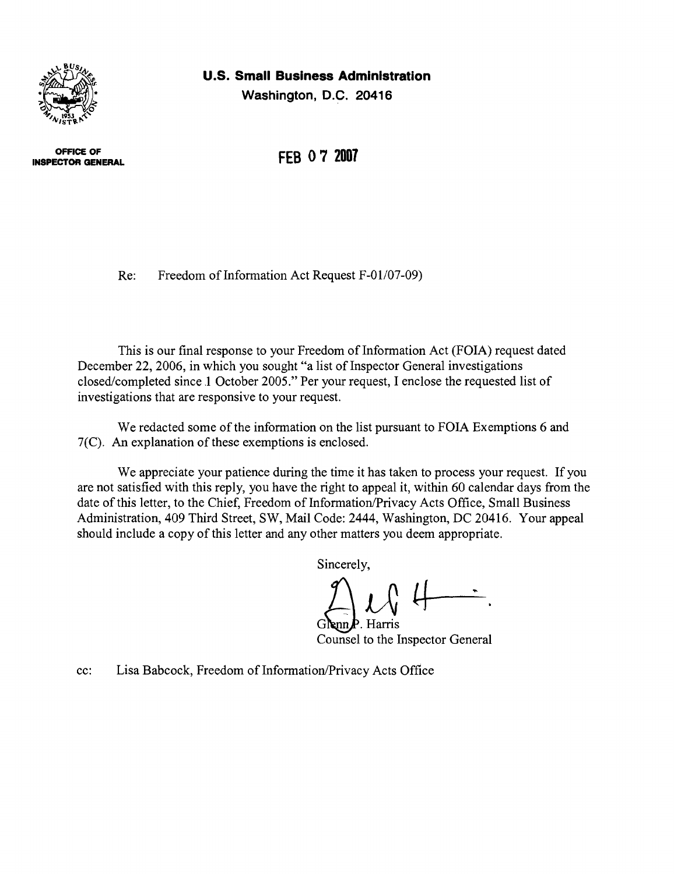

**Washington, D.C. 20416** 



**OFFICE OF INSPECTOR GENERAL**  **FEB 07 2007** 

Re: Freedom of Information Act Request F-01/07-09)

This is our final response to your Freedom of Information Act (FOIA) request dated December 22, 2006, in which you sought "a list of Inspector General investigations closed/completed since.1 October 2005." Per your request, I enclose the requested list of investigations that are responsive to your request.

We redacted some of the information on the list pursuant to FOIA Exemptions 6 and 7(C). An explanation of these exemptions is enclosed.

We appreciate your patience during the time it has taken to process your request. If you are not satisfied with this reply, you have the right to appeal it, within 60 calendar days from the date of this letter, to the Chief, Freedom of Information/Privacy Acts Office, Small Business Administration, 409 Third Street, SW, Mail Code: 2444, Washington, DC 20416. Your appeal should include a copy of this letter and any other matters you deem appropriate.

Sincerely,

 $G$ **e**nn $\mathbf{P}$ . Harris Counsel to the Inspector General

cc: Lisa Babcock, Freedom of Information/Privacy Acts Office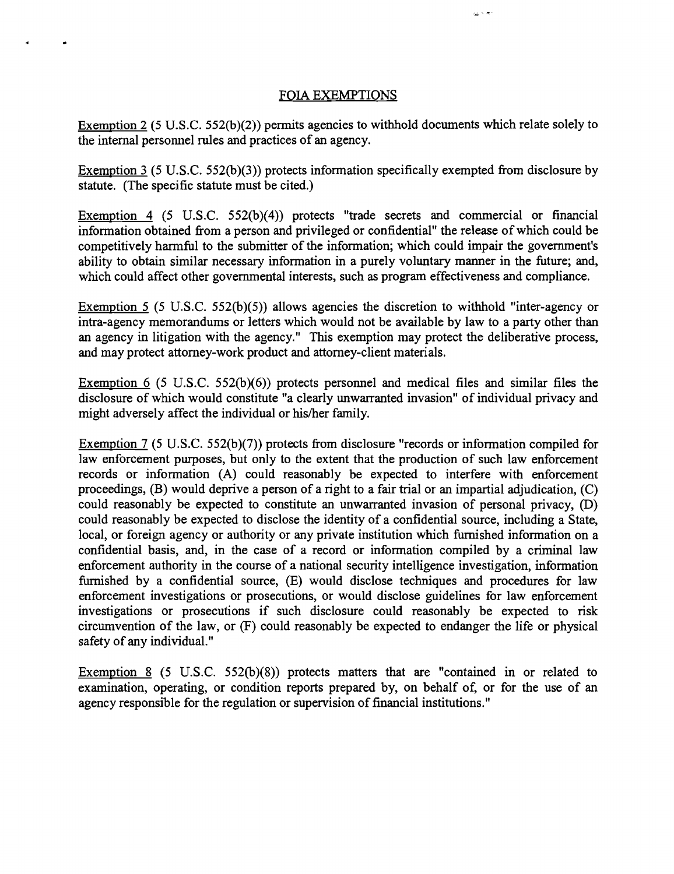## FOIA EXEMPTIONS

 $\bullet$ 

 $\frac{1}{2}$  is  $\frac{1}{2}$ 

Exemption 2 (5 U.S.C. 552(b)(2)) permits agencies to withhold documents which relate solely to the internal personnel rules and practices of an agency.

Exemption  $3$  (5 U.S.C. 552(b)(3)) protects information specifically exempted from disclosure by statute. (The specific statute must be cited.)

Exemption 4 (5 U.S.C. 552(b)(4)) protects "trade secrets and commercial or financial information obtained from a person and privileged or confidential" the release of which could be competitively harmful to the submitter of the information; which could impair the government's ability to obtain similar necessary information in a purely voluntary manner in the future; and, which could affect other governmental interests, such as program effectiveness and compliance.

Exemption 5 (5 U.S.C. 552(b)(5)) allows agencies the discretion to withhold "inter-agency or intra-agency memorandums or letters which would not be available by law to a party other than an agency in litigation with the agency." This exemption may protect the deliberative process, and may protect attorney-work product and attorney-client materials.

Exemption  $6$  (5 U.S.C. 552(b)(6)) protects personnel and medical files and similar files the disclosure of which would constitute "a clearly unwarranted invasion" of individual privacy and might adversely affect the individual or his/her family.

Exemption 7 (5 U.S.C. 552(b)(7)) protects from disclosure "records or information compiled for law enforcement purposes, but only to the extent that the production of such law enforcement records or information (A) could reasonably be expected to interfere with enforcement proceedings, (B) would deprive a person of a right to a fair trial or an impartial adjudication, (C) could reasonably be expected to constitute an unwarranted invasion of personal privacy, (D) could reasonably be expected to disclose the identity of a confidential source, including a State, local, or foreign agency or authority or any private institution which furnished information on a confidential basis, and, in the case of a record or infonnation compiled by a criminal law enforcement authority in the course of a national security intelligence investigation, infonnation furnished by a confidential source, (E) would disclose techniques and procedures for law enforcement investigations or prosecutions, or would disclose guidelines for law enforcement investigations or prosecutions if such disclosure could reasonably be expected to risk circumvention of the law, or (F) could reasonably be expected to endanger the life or physical safety of any individual."

Exemption 8 (5 U.S.C. 552(b)(8)) protects matters that are "contained in or related to examination, operating, or condition reports prepared by, on behalf of, or for the use of an agency responsible for the regulation or supervision of financial institutions."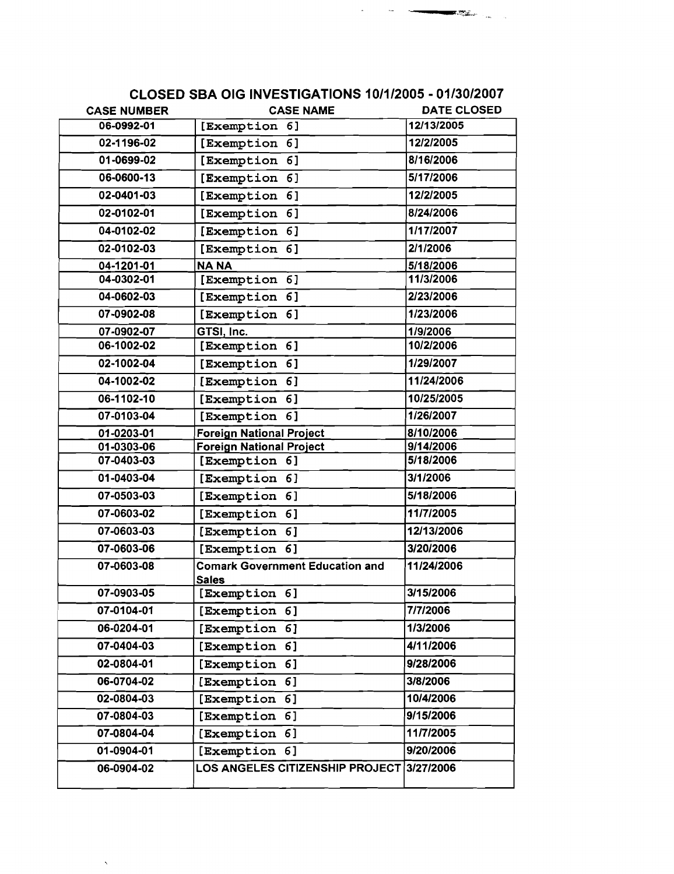| <b>CASE NUMBER</b> | <b>CASE NAME</b>                                       | <b>DATE CLOSED</b> |
|--------------------|--------------------------------------------------------|--------------------|
| 06-0992-01         | [Exemption 6]                                          | 12/13/2005         |
| 02-1196-02         | [Exemption<br>6]                                       | 12/2/2005          |
| 01-0699-02         | 6]<br>[Exemption                                       | 8/16/2006          |
| 06-0600-13         | [Exemption<br>6]                                       | 5/17/2006          |
| 02-0401-03         | [Exemption<br>6]                                       | 12/2/2005          |
| 02-0102-01         | [Exemption<br>6]                                       | 8/24/2006          |
| 04-0102-02         | [Exemption 6]                                          | 1/17/2007          |
| 02-0102-03         | [Exemption<br>6]                                       | 2/1/2006           |
| 04-1201-01         | <b>NANA</b>                                            | 5/18/2006          |
| 04-0302-01         | [Exemption<br>6]                                       | 11/3/2006          |
| 04-0602-03         | <b>[Exemption</b><br>6]                                | 2/23/2006          |
| 07-0902-08         | [Exemption<br>6]                                       | 1/23/2006          |
| 07-0902-07         | GTSI, Inc.                                             | 1/9/2006           |
| 06-1002-02         | [Exemption 6]                                          | 10/2/2006          |
| 02-1002-04         | [Exemption 6]                                          | 1/29/2007          |
| 04-1002-02         | [Exemption<br>6]                                       | 11/24/2006         |
| 06-1102-10         | [Exemption 6]                                          | 10/25/2005         |
| 07-0103-04         | [Exemption 6]                                          | 1/26/2007          |
| 01-0203-01         | <b>Foreign National Project</b>                        | 8/10/2006          |
| 01-0303-06         | <b>Foreign National Project</b>                        | 9/14/2006          |
| 07-0403-03         | [Exemption 6]                                          | 5/18/2006          |
| 01-0403-04         | [Exemption 6]                                          | 3/1/2006           |
| 07-0503-03         | [Exemption 6]                                          | 5/18/2006          |
| 07-0603-02         | [Exemption<br>6]                                       | 11/7/2005          |
| 07-0603-03         | [Exemption 6]                                          | 12/13/2006         |
| 07-0603-06         | [Exemption 6]                                          | 3/20/2006          |
| 07-0603-08         | <b>Comark Government Education and</b><br><b>Sales</b> | 11/24/2006         |
| 07-0903-05         | [Exemption 6]                                          | 3/15/2006          |
| 07-0104-01         | [Exemption 6]                                          | 7/7/2006           |
| 06-0204-01         | [Exemption 6]                                          | 1/3/2006           |
| 07-0404-03         | [Exemption 6]                                          | 4/11/2006          |
| 02-0804-01         | [Exemption 6]                                          | 9/28/2006          |
| 06-0704-02         | [Exemption 6]                                          | 3/8/2006           |
| 02-0804-03         | [Exemption 6]                                          | 10/4/2006          |
| 07-0804-03         | [Exemption 6]                                          | 9/15/2006          |
| 07-0804-04         | [Exemption 6]                                          | 11/7/2005          |
| 01-0904-01         | [Exemption 6]                                          | 9/20/2006          |
| 06-0904-02         | LOS ANGELES CITIZENSHIP PROJECT 3/27/2006              |                    |
|                    |                                                        |                    |

 $\hat{\mathbf{v}}$ 

## CLOSED SBA OIG INVESTIGATIONS 10/1/2005 ·01/30/2007

~---\_..,.~.,